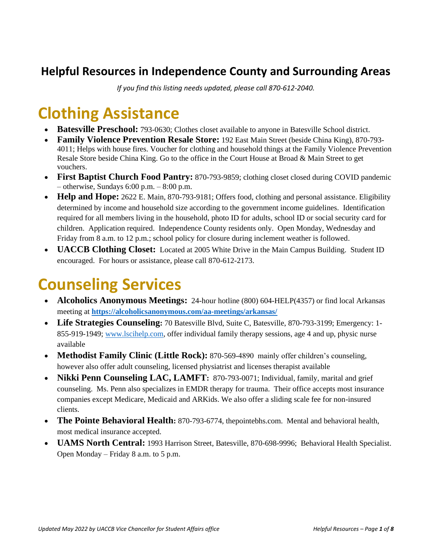#### **Helpful Resources in Independence County and Surrounding Areas**

*If you find this listing needs updated, please call 870-612-2040.*

## **Clothing Assistance**

- **Batesville Preschool:** 793-0630; Clothes closet available to anyone in Batesville School district.
- **Family Violence Prevention Resale Store:** 192 East Main Street (beside China King), 870-793- 4011; Helps with house fires. Voucher for clothing and household things at the Family Violence Prevention Resale Store beside China King. Go to the office in the Court House at Broad & Main Street to get vouchers.
- **First Baptist Church Food Pantry:** 870-793-9859; clothing closet closed during COVID pandemic  $-$  otherwise, Sundays 6:00 p.m.  $-$  8:00 p.m.
- **Help and Hope:** 2622 E. Main, 870-793-9181; Offers food, clothing and personal assistance. Eligibility determined by income and household size according to the government income guidelines. Identification required for all members living in the household, photo ID for adults, school ID or social security card for children. Application required. Independence County residents only. Open Monday, Wednesday and Friday from 8 a.m. to 12 p.m.; school policy for closure during inclement weather is followed.
- **UACCB Clothing Closet:** Located at 2005 White Drive in the Main Campus Building. Student ID encouraged. For hours or assistance, please call 870-612-2173.

#### **Counseling Services**

- **Alcoholics Anonymous Meetings:** 24-hour hotline (800) 604-HELP(4357) or find local Arkansas meeting at **<https://alcoholicsanonymous.com/aa-meetings/arkansas/>**
- **Life Strategies Counseling:** 70 Batesville Blvd, Suite C, Batesville, 870-793-3199; Emergency: 1- 855-919-1949; [www.lscihelp.com,](http://www.lscihelp.com/) offer individual family therapy sessions, age 4 and up, physic nurse available
- **Methodist Family Clinic (Little Rock):** 870-569-4890 mainly offer children's counseling, however also offer adult counseling, licensed physiatrist and licenses therapist available
- **Nikki Penn Counseling LAC, LAMFT:** 870-793-0071; Individual, family, marital and grief counseling. Ms. Penn also specializes in EMDR therapy for trauma. Their office accepts most insurance companies except Medicare, Medicaid and ARKids. We also offer a sliding scale fee for non-insured clients.
- **The Pointe Behavioral Health:** 870-793-6774, thepointebhs.com. Mental and behavioral health, most medical insurance accepted.
- **UAMS North Central:** 1993 Harrison Street, Batesville, 870-698-9996; Behavioral Health Specialist. Open Monday – Friday 8 a.m. to 5 p.m.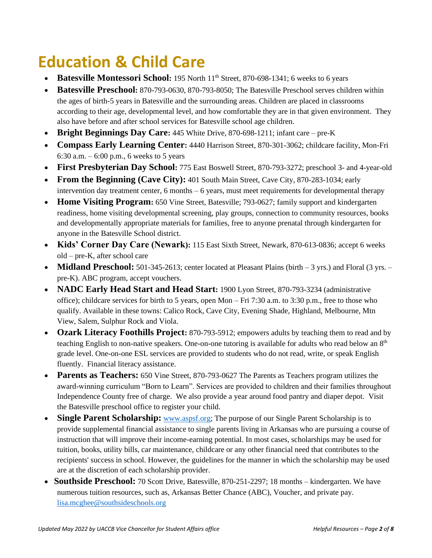## **Education & Child Care**

- **Batesville Montessori School:** 195 North 11<sup>th</sup> Street, 870-698-1341; 6 weeks to 6 years
- **Batesville Preschool:** 870-793-0630, 870-793-8050; The Batesville Preschool serves children within the ages of birth-5 years in Batesville and the surrounding areas. Children are placed in classrooms according to their age, developmental level, and how comfortable they are in that given environment. They also have before and after school services for Batesville school age children.
- **Bright Beginnings Day Care:** 445 White Drive, 870-698-1211; infant care pre-K
- **Compass Early Learning Center:** 4440 Harrison Street, 870-301-3062; childcare facility, Mon-Fri 6:30 a.m.  $-6:00$  p.m., 6 weeks to 5 years
- **First Presbyterian Day School:** 775 East Boswell Street, 870-793-3272; preschool 3- and 4-year-old
- **From the Beginning (Cave City):** 401 South Main Street, Cave City, 870-283-1034; early intervention day treatment center,  $6$  months  $-6$  years, must meet requirements for developmental therapy
- **Home Visiting Program:** 650 Vine Street, Batesville: 793-0627; family support and kindergarten readiness, home visiting developmental screening, play groups, connection to community resources, books and developmentally appropriate materials for families, free to anyone prenatal through kindergarten for anyone in the Batesville School district.
- **Kids' Corner Day Care (Newark):** 115 East Sixth Street, Newark, 870-613-0836; accept 6 weeks old – pre-K, after school care
- **Midland Preschool:** 501-345-2613; center located at Pleasant Plains (birth 3 yrs.) and Floral (3 yrs. pre-K). ABC program, accept vouchers.
- **NADC Early Head Start and Head Start**: 1900 Lyon Street, 870-793-3234 (administrative office); childcare services for birth to 5 years, open Mon – Fri 7:30 a.m. to 3:30 p.m., free to those who qualify. Available in these towns: Calico Rock, Cave City, Evening Shade, Highland, Melbourne, Mtn View, Salem, Sulphur Rock and Viola.
- **Ozark Literacy Foothills Project:** 870-793-5912; empowers adults by teaching them to read and by teaching English to non-native speakers. One-on-one tutoring is available for adults who read below an 8th grade level. One-on-one ESL services are provided to students who do not read, write, or speak English fluently. Financial literacy assistance.
- **Parents as Teachers:** 650 Vine Street, 870-793-0627 The Parents as Teachers program utilizes the award-winning curriculum "Born to Learn". Services are provided to children and their families throughout Independence County free of charge. We also provide a year around food pantry and diaper depot. Visit the Batesville preschool office to register your child.
- **Single Parent Scholarship:** [www.aspsf.org;](http://www.aspsf.org/) The purpose of our Single Parent Scholarship is to provide supplemental financial assistance to single parents living in Arkansas who are pursuing a course of instruction that will improve their income-earning potential. In most cases, scholarships may be used for tuition, books, utility bills, car maintenance, childcare or any other financial need that contributes to the recipients' success in school. However, the guidelines for the manner in which the scholarship may be used are at the discretion of each scholarship provider.
- **Southside Preschool:** 70 Scott Drive, Batesville, 870-251-2297; 18 months kindergarten. We have numerous tuition resources, such as, Arkansas Better Chance (ABC), Voucher, and private pay. [lisa.mcghee@southsideschools.org](mailto:lisa.mcghee@southsideschools.org)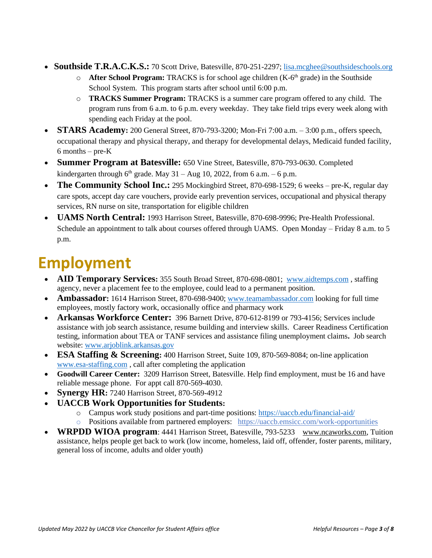- **Southside T.R.A.C.K.S.:** 70 Scott Drive, Batesville, 870-251-2297; [lisa.mcghee@southsideschools.org](mailto:lisa.mcghee@southsideschools.org)
	- o **After School Program:** TRACKS is for school age children (K-6 th grade) in the Southside School System. This program starts after school until 6:00 p.m.
	- o **TRACKS Summer Program:** TRACKS is a summer care program offered to any child. The program runs from 6 a.m. to 6 p.m. every weekday. They take field trips every week along with spending each Friday at the pool.
- **STARS Academy:** 200 General Street, 870-793-3200; Mon-Fri 7:00 a.m. 3:00 p.m., offers speech, occupational therapy and physical therapy, and therapy for developmental delays, Medicaid funded facility,  $6$  months – pre- $K$
- **Summer Program at Batesville:** 650 Vine Street, Batesville, 870-793-0630. Completed kindergarten through  $6<sup>th</sup>$  grade. May 31 – Aug 10, 2022, from 6 a.m. – 6 p.m.
- **The Community School Inc.:** 295 Mockingbird Street, 870-698-1529; 6 weeks pre-K, regular day care spots, accept day care vouchers, provide early prevention services, occupational and physical therapy services, RN nurse on site, transportation for eligible children
- **UAMS North Central:** 1993 Harrison Street, Batesville, 870-698-9996; Pre-Health Professional. Schedule an appointment to talk about courses offered through UAMS. Open Monday – Friday 8 a.m. to 5 p.m.

#### **Employment**

- **AID Temporary Services:** 355 South Broad Street, 870-698-0801; [www.aidtemps.com](http://www.aidtemps.com/), staffing agency, never a placement fee to the employee, could lead to a permanent position.
- **Ambassador**: 1614 Harrison Street, 870-698-9400; [www.teamambassador.com](http://www.teamambassador.com/) looking for full time employees, mostly factory work, occasionally office and pharmacy work
- **Arkansas Workforce Center:** 396 Barnett Drive, 870-612-8199 or 793-4156; Services include assistance with job search assistance, resume building and interview skills. Career Readiness Certification testing, information about TEA or TANF services and assistance filing unemployment claims**.** Job search website: [www.arjoblink.arkansas.gov](http://www.arjoblink.arkansas.gov/)
- **ESA Staffing & Screening:** 400 Harrison Street, Suite 109, 870-569-8084; on-line application [www.esa-staffing.com](http://www.esa-staffing.com/) , call after completing the application
- **Goodwill Career Center:** 3209 Harrison Street, Batesville. Help find employment, must be 16 and have reliable message phone. For appt call 870-569-4030.
- **Synergy HR:** 7240 Harrison Street, 870-569-4912
- **UACCB Work Opportunities for Students:**
	- o Campus work study positions and part-time positions:<https://uaccb.edu/financial-aid/>
	- o Positions available from partnered employers: <https://uaccb.emsicc.com/work-opportunities>
- **WRPDD WIOA program**: 4441 Harrison Street, Batesville, 793-5233 [www.ncaworks.com,](http://www.ncaworks.com/) Tuition assistance, helps people get back to work (low income, homeless, laid off, offender, foster parents, military, general loss of income, adults and older youth)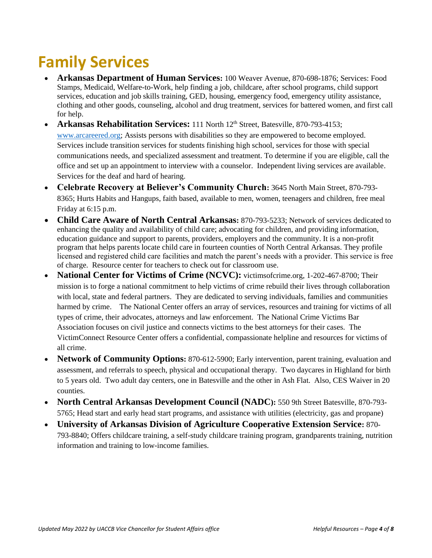## **Family Services**

- **Arkansas Department of Human Services:** 100 Weaver Avenue, 870-698-1876; Services: Food Stamps, Medicaid, Welfare-to-Work, help finding a job, childcare, after school programs, child support services, education and job skills training, GED, housing, emergency food, emergency utility assistance, clothing and other goods, counseling, alcohol and drug treatment, services for battered women, and first call for help.
- **Arkansas Rehabilitation Services:** 111 North 12<sup>th</sup> Street, Batesville, 870-793-4153; [www.arcareered.org;](http://www.arcareered.org/) Assists persons with disabilities so they are empowered to become employed. Services include transition services for students finishing high school, services for those with special communications needs, and specialized assessment and treatment. To determine if you are eligible, call the office and set up an appointment to interview with a counselor. Independent living services are available. Services for the deaf and hard of hearing.
- **Celebrate Recovery at Believer's Community Church:** 3645 North Main Street, 870-793- 8365; Hurts Habits and Hangups, faith based, available to men, women, teenagers and children, free meal Friday at 6:15 p.m.
- **Child Care Aware of North Central Arkansas:** 870-793-5233; Network of services dedicated to enhancing the quality and availability of child care; advocating for children, and providing information, education guidance and support to parents, providers, employers and the community. It is a non-profit program that helps parents locate child care in fourteen counties of North Central Arkansas. They profile licensed and registered child care facilities and match the parent's needs with a provider. This service is free of charge. Resource center for teachers to check out for classroom use.
- **National Center for Victims of Crime (NCVC):** victimsofcrime.org, 1-202-467-8700; Their mission is to forge a national commitment to help victims of crime rebuild their lives through collaboration with local, state and federal partners. They are dedicated to serving individuals, families and communities harmed by crime. The National Center offers an array of services, resources and training for victims of all types of crime, their advocates, attorneys and law enforcement. The National Crime Victims Bar Association focuses on civil justice and connects victims to the best attorneys for their cases. The VictimConnect Resource Center offers a confidential, compassionate helpline and resources for victims of all crime.
- **Network of Community Options:** 870-612-5900; Early intervention, parent training, evaluation and assessment, and referrals to speech, physical and occupational therapy. Two daycares in Highland for birth to 5 years old. Two adult day centers, one in Batesville and the other in Ash Flat. Also, CES Waiver in 20 counties.
- **North Central Arkansas Development Council (NADC):** 550 9th Street Batesville, 870-793- 5765; Head start and early head start programs, and assistance with utilities (electricity, gas and propane)
- **University of Arkansas Division of Agriculture Cooperative Extension Service:** 870- 793-8840; Offers childcare training, a self-study childcare training program, grandparents training, nutrition information and training to low-income families.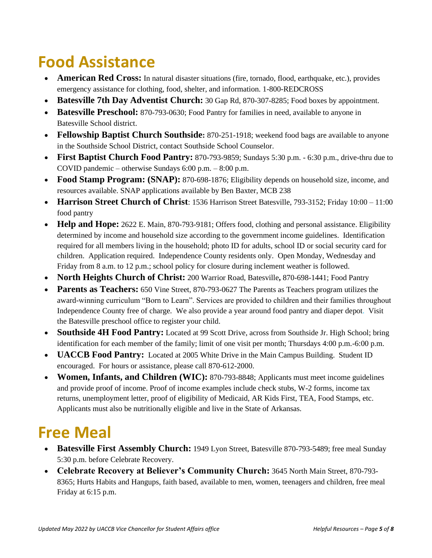#### **Food Assistance**

- **American Red Cross:** In natural disaster situations (fire, tornado, flood, earthquake, etc.), provides emergency assistance for clothing, food, shelter, and information. 1-800-REDCROSS
- **Batesville 7th Day Adventist Church:** 30 Gap Rd, 870-307-8285; Food boxes by appointment.
- **Batesville Preschool:** 870-793-0630; Food Pantry for families in need, available to anyone in Batesville School district.
- **Fellowship Baptist Church Southside:** 870-251-1918; weekend food bags are available to anyone in the Southside School District, contact Southside School Counselor.
- **First Baptist Church Food Pantry:** 870-793-9859; Sundays 5:30 p.m. 6:30 p.m., drive-thru due to COVID pandemic – otherwise Sundays 6:00 p.m. – 8:00 p.m.
- **Food Stamp Program: (SNAP):** 870-698-1876; Eligibility depends on household size, income, and resources available. SNAP applications available by Ben Baxter, MCB 238
- **Harrison Street Church of Christ**: 1536 Harrison Street Batesville, 793-3152; Friday 10:00 11:00 food pantry
- **Help and Hope:** 2622 E. Main, 870-793-9181; Offers food, clothing and personal assistance. Eligibility determined by income and household size according to the government income guidelines. Identification required for all members living in the household; photo ID for adults, school ID or social security card for children. Application required. Independence County residents only. Open Monday, Wednesday and Friday from 8 a.m. to 12 p.m.; school policy for closure during inclement weather is followed.
- **North Heights Church of Christ:** 200 Warrior Road, Batesville**,** 870-698-1441; Food Pantry
- **Parents as Teachers:** 650 Vine Street, 870-793-0627 The Parents as Teachers program utilizes the award-winning curriculum "Born to Learn". Services are provided to children and their families throughout Independence County free of charge. We also provide a year around food pantry and diaper depot. Visit the Batesville preschool office to register your child.
- **Southside 4H Food Pantry:** Located at 99 Scott Drive, across from Southside Jr. High School; bring identification for each member of the family; limit of one visit per month; Thursdays 4:00 p.m.-6:00 p.m.
- **UACCB Food Pantry:** Located at 2005 White Drive in the Main Campus Building. Student ID encouraged. For hours or assistance, please call 870-612-2000.
- **Women, Infants, and Children (WIC):** 870-793-8848; Applicants must meet income guidelines and provide proof of income. Proof of income examples include check stubs, W-2 forms, income tax returns, unemployment letter, proof of eligibility of Medicaid, AR Kids First, TEA, Food Stamps, etc. Applicants must also be nutritionally eligible and live in the State of Arkansas.

#### **Free Meal**

- **Batesville First Assembly Church:** 1949 Lyon Street, Batesville 870-793-5489; free meal Sunday 5:30 p.m. before Celebrate Recovery.
- **Celebrate Recovery at Believer's Community Church:** 3645 North Main Street, 870-793- 8365; Hurts Habits and Hangups, faith based, available to men, women, teenagers and children, free meal Friday at 6:15 p.m.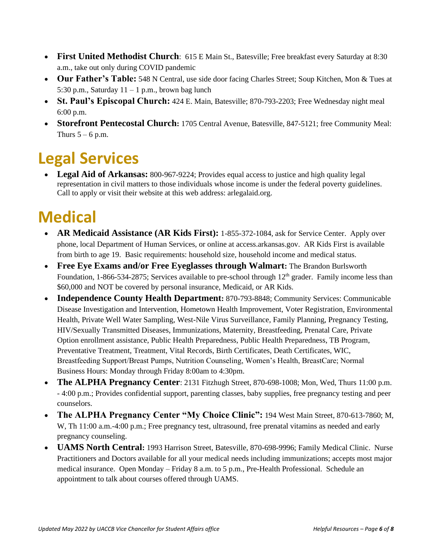- **First United Methodist Church**: 615 E Main St., Batesville; Free breakfast every Saturday at 8:30 a.m., take out only during COVID pandemic
- **Our Father's Table:** 548 N Central, use side door facing Charles Street; Soup Kitchen, Mon & Tues at 5:30 p.m., Saturday  $11 - 1$  p.m., brown bag lunch
- **St. Paul's Episcopal Church:** 424 E. Main, Batesville; 870-793-2203; Free Wednesday night meal 6:00 p.m.
- **Storefront Pentecostal Church:** 1705 Central Avenue, Batesville, 847-5121; free Community Meal: Thurs  $5 - 6$  p.m.

## **Legal Services**

• Legal Aid of Arkansas: 800-967-9224; Provides equal access to justice and high quality legal representation in civil matters to those individuals whose income is under the federal poverty guidelines. Call to apply or visit their website at this web address: arlegalaid.org.

## **Medical**

- **AR Medicaid Assistance (AR Kids First):** 1-855-372-1084, ask for Service Center. Apply over phone, local Department of Human Services, or online at access.arkansas.gov. AR Kids First is available from birth to age 19. Basic requirements: household size, household income and medical status.
- **Free Eye Exams and/or Free Eyeglasses through Walmart:** The Brandon Burlsworth Foundation,  $1-866-534-2875$ ; Services available to pre-school through  $12<sup>th</sup>$  grader. Family income less than \$60,000 and NOT be covered by personal insurance, Medicaid, or AR Kids.
- **Independence County Health Department:** 870-793-8848; Community Services: Communicable Disease Investigation and Intervention, Hometown Health Improvement, Voter Registration, Environmental Health, Private Well Water Sampling, West-Nile Virus Surveillance, Family Planning, Pregnancy Testing, HIV/Sexually Transmitted Diseases, Immunizations, Maternity, Breastfeeding, Prenatal Care, Private Option enrollment assistance, Public Health Preparedness, Public Health Preparedness, TB Program, Preventative Treatment, Treatment, Vital Records, Birth Certificates, Death Certificates, WIC, Breastfeeding Support/Breast Pumps, Nutrition Counseling, Women's Health, BreastCare; Normal Business Hours: Monday through Friday 8:00am to 4:30pm.
- **The ALPHA Pregnancy Center**: 2131 Fitzhugh Street, 870-698-1008; Mon, Wed, Thurs 11:00 p.m. - 4:00 p.m.; Provides confidential support, parenting classes, baby supplies, free pregnancy testing and peer counselors.
- **The ALPHA Pregnancy Center "My Choice Clinic":** 194 West Main Street, 870-613-7860; M, W, Th 11:00 a.m.-4:00 p.m.; Free pregnancy test, ultrasound, free prenatal vitamins as needed and early pregnancy counseling.
- **UAMS North Central:** 1993 Harrison Street, Batesville, 870-698-9996; Family Medical Clinic. Nurse Practitioners and Doctors available for all your medical needs including immunizations; accepts most major medical insurance. Open Monday – Friday 8 a.m. to 5 p.m., Pre-Health Professional. Schedule an appointment to talk about courses offered through UAMS.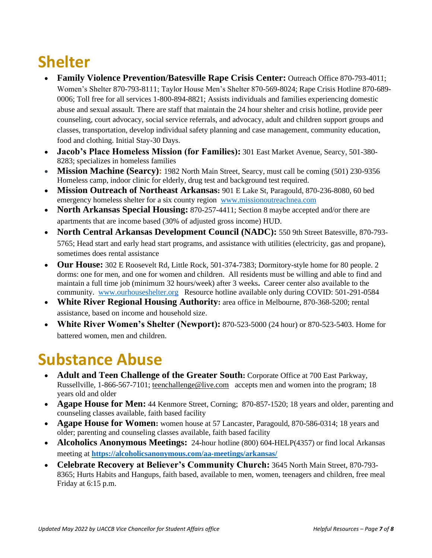# **Shelter**

- **Family Violence Prevention/Batesville Rape Crisis Center:** Outreach Office 870-793-4011; Women's Shelter 870-793-8111; Taylor House Men's Shelter 870-569-8024; Rape Crisis Hotline 870-689- 0006; Toll free for all services 1-800-894-8821; Assists individuals and families experiencing domestic abuse and sexual assault. There are staff that maintain the 24 hour shelter and crisis hotline, provide peer counseling, court advocacy, social service referrals, and advocacy, adult and children support groups and classes, transportation, develop individual safety planning and case management, community education, food and clothing. Initial Stay-30 Days.
- **Jacob's Place Homeless Mission (for Families):** 301 East Market Avenue, Searcy, 501-380- 8283; specializes in homeless families
- **Mission Machine (Searcy):** 1982 North Main Street, Searcy, must call be coming (501) 230-9356 Homeless camp, indoor clinic for elderly, drug test and background test required.
- **Mission Outreach of Northeast Arkansas:** 901 E Lake St, Paragould, 870-236-8080, 60 bed emergency homeless shelter for a six county region [www.missionoutreachnea.com](http://www.missionoutreachnea.com/)
- **North Arkansas Special Housing:** 870-257-4411; Section 8 maybe accepted and/or there are apartments that are income based (30% of adjusted gross income) HUD.
- **North Central Arkansas Development Council (NADC):** 550 9th Street Batesville, 870-793- 5765; Head start and early head start programs, and assistance with utilities (electricity, gas and propane), sometimes does rental assistance
- **Our House:** 302 E Roosevelt Rd, Little Rock, 501-374-7383; Dormitory-style home for 80 people. 2 dorms: one for men, and one for women and children. All residents must be willing and able to find and maintain a full time job (minimum 32 hours/week) after 3 weeks**.** Career center also available to the community. [www.ourhouseshelter.org](http://www.ourhouseshelter.org/) Resource hotline available only during COVID: 501-291-0584
- **White River Regional Housing Authority:** area office in Melbourne, 870-368-5200; rental assistance, based on income and household size.
- **White River Women's Shelter (Newport):** 870-523-5000 (24 hour) or 870-523-5403. Home for battered women, men and children.

#### **Substance Abuse**

- **Adult and Teen Challenge of the Greater South:** Corporate Office at 700 East Parkway, Russellville, 1-866-567-7101[; teenchallenge@live.com](mailto:teenchallenge@live.com) accepts men and women into the program; 18 years old and older
- **Agape House for Men:** 44 Kenmore Street, Corning; 870-857-1520; 18 years and older, parenting and counseling classes available, faith based facility
- **Agape House for Women:** women house at 57 Lancaster, Paragould, 870-586-0314; 18 years and older; parenting and counseling classes available, faith based facility
- **Alcoholics Anonymous Meetings:** 24-hour hotline (800) 604-HELP(4357) or find local Arkansas meeting at **<https://alcoholicsanonymous.com/aa-meetings/arkansas/>**
- **Celebrate Recovery at Believer's Community Church:** 3645 North Main Street, 870-793- 8365; Hurts Habits and Hangups, faith based, available to men, women, teenagers and children, free meal Friday at 6:15 p.m.